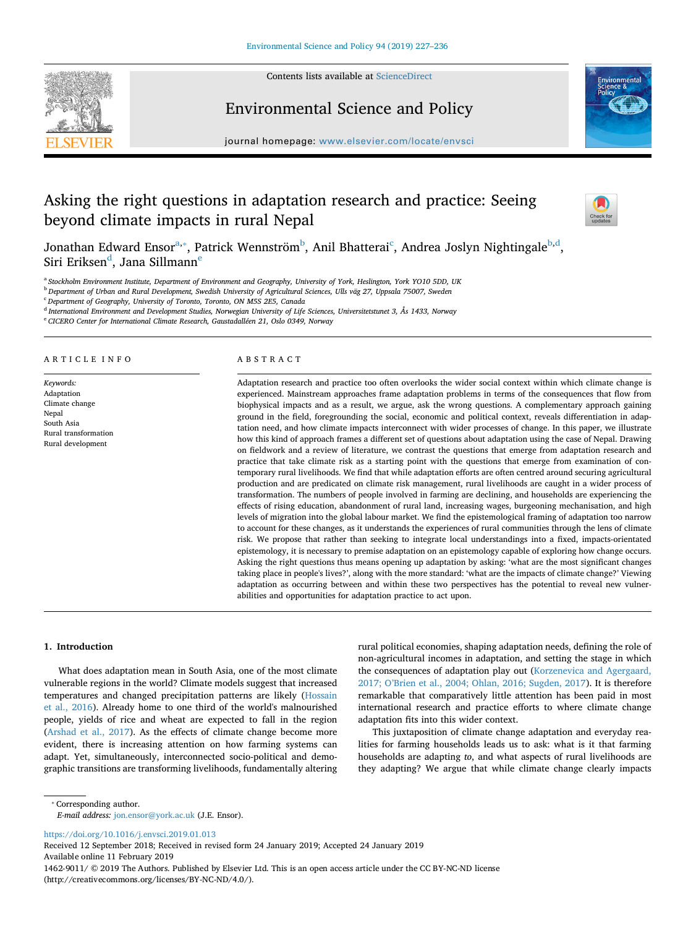

Contents lists available at [ScienceDirect](http://www.sciencedirect.com/science/journal/14629011)

## Environmental Science and Policy



journal homepage: [www.elsevier.com/locate/envsci](https://www.elsevier.com/locate/envsci)

# Asking the right questions in adaptation research and practice: Seeing beyond climate impacts in rural Nepal



Jonathan Edward Ensor $\mathrm{a}_*$ , Patr[ic](#page-0-3)k Wennström $\mathrm{^{b} , A}$  $\mathrm{^{b} , A}$  $\mathrm{^{b} , A}$ nil Bhatterai $\mathrm{^{c} , A}$ ndrea Joslyn Nightingale $\mathrm{^{b, d} ,}$ Siri Eriksen<sup>[d](#page-0-4)</sup>, Jana Sillmann<sup>[e](#page-0-5)</sup>

<span id="page-0-0"></span><sup>a</sup> *Stockholm Environment Institute, Department of Environment and Geography, University of York, Heslington, York YO10 5DD, UK*

<span id="page-0-2"></span><sup>b</sup> *Department of Urban and Rural Development, Swedish University of Agricultural Sciences, Ulls väg 27, Uppsala 75007, Sweden*

<span id="page-0-3"></span><sup>c</sup> *Department of Geography, University of Toronto, Toronto, ON M5S 2E5, Canada*

<span id="page-0-4"></span><sup>d</sup> *International Environment and Development Studies, Norwegian University of Life Sciences, Universitetstunet 3, Ås 1433, Norway*

<span id="page-0-5"></span><sup>e</sup> *CICERO Center for International Climate Research, Gaustadalléen 21, Oslo 0349, Norway*

#### ARTICLE INFO

*Keywords:* Adaptation Climate change Nepal South Asia Rural transformation Rural development

### ABSTRACT

Adaptation research and practice too often overlooks the wider social context within which climate change is experienced. Mainstream approaches frame adaptation problems in terms of the consequences that flow from biophysical impacts and as a result, we argue, ask the wrong questions. A complementary approach gaining ground in the field, foregrounding the social, economic and political context, reveals differentiation in adaptation need, and how climate impacts interconnect with wider processes of change. In this paper, we illustrate how this kind of approach frames a different set of questions about adaptation using the case of Nepal. Drawing on fieldwork and a review of literature, we contrast the questions that emerge from adaptation research and practice that take climate risk as a starting point with the questions that emerge from examination of contemporary rural livelihoods. We find that while adaptation efforts are often centred around securing agricultural production and are predicated on climate risk management, rural livelihoods are caught in a wider process of transformation. The numbers of people involved in farming are declining, and households are experiencing the effects of rising education, abandonment of rural land, increasing wages, burgeoning mechanisation, and high levels of migration into the global labour market. We find the epistemological framing of adaptation too narrow to account for these changes, as it understands the experiences of rural communities through the lens of climate risk. We propose that rather than seeking to integrate local understandings into a fixed, impacts-orientated epistemology, it is necessary to premise adaptation on an epistemology capable of exploring how change occurs. Asking the right questions thus means opening up adaptation by asking: 'what are the most significant changes taking place in people's lives?', along with the more standard: 'what are the impacts of climate change?' Viewing adaptation as occurring between and within these two perspectives has the potential to reveal new vulnerabilities and opportunities for adaptation practice to act upon.

#### **1. Introduction**

What does adaptation mean in South Asia, one of the most climate vulnerable regions in the world? Climate models suggest that increased temperatures and changed precipitation patterns are likely [\(Hossain](#page-8-0) [et al., 2016](#page-8-0)). Already home to one third of the world's malnourished people, yields of rice and wheat are expected to fall in the region ([Arshad et al., 2017\)](#page-7-0). As the effects of climate change become more evident, there is increasing attention on how farming systems can adapt. Yet, simultaneously, interconnected socio-political and demographic transitions are transforming livelihoods, fundamentally altering rural political economies, shaping adaptation needs, defining the role of non-agricultural incomes in adaptation, and setting the stage in which the consequences of adaptation play out [\(Korzenevica and Agergaard,](#page-8-1) [2017; O'Brien et al., 2004; Ohlan, 2016; Sugden, 2017\)](#page-8-1). It is therefore remarkable that comparatively little attention has been paid in most international research and practice efforts to where climate change adaptation fits into this wider context.

This juxtaposition of climate change adaptation and everyday realities for farming households leads us to ask: what is it that farming households are adapting *to*, and what aspects of rural livelihoods are they adapting? We argue that while climate change clearly impacts

<span id="page-0-1"></span>⁎ Corresponding author.

*E-mail address:* [jon.ensor@york.ac.uk](mailto:jon.ensor@york.ac.uk) (J.E. Ensor).

<https://doi.org/10.1016/j.envsci.2019.01.013>

Received 12 September 2018; Received in revised form 24 January 2019; Accepted 24 January 2019 Available online 11 February 2019

1462-9011/ © 2019 The Authors. Published by Elsevier Ltd. This is an open access article under the CC BY-NC-ND license (http://creativecommons.org/licenses/BY-NC-ND/4.0/).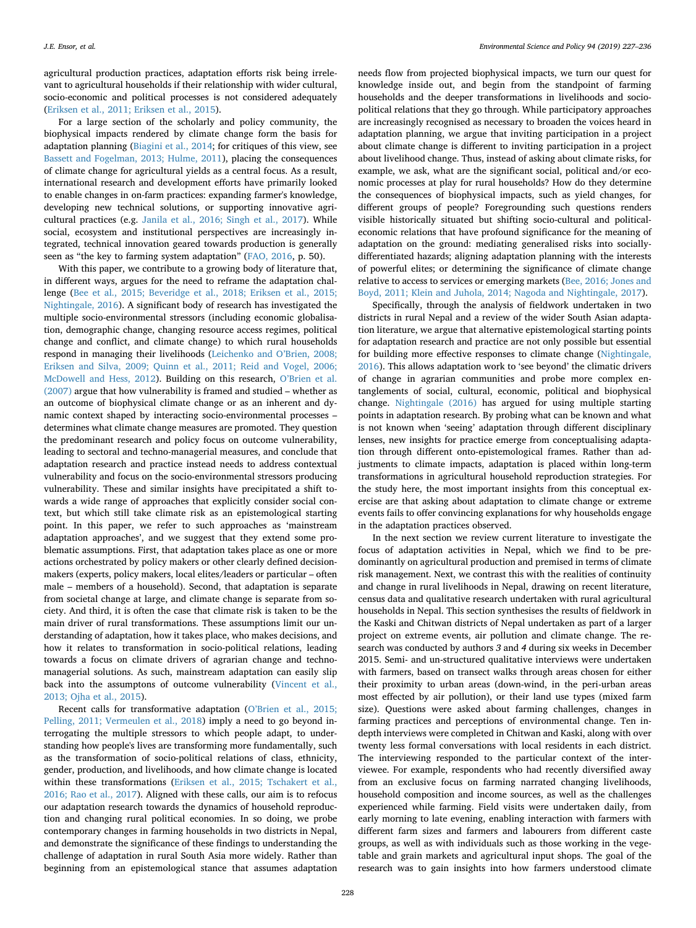agricultural production practices, adaptation efforts risk being irrelevant to agricultural households if their relationship with wider cultural, socio-economic and political processes is not considered adequately ([Eriksen et al., 2011; Eriksen et al., 2015](#page-8-2)).

For a large section of the scholarly and policy community, the biophysical impacts rendered by climate change form the basis for adaptation planning [\(Biagini et al., 2014;](#page-7-1) for critiques of this view, see [Bassett and Fogelman, 2013; Hulme, 2011](#page-7-2)), placing the consequences of climate change for agricultural yields as a central focus. As a result, international research and development efforts have primarily looked to enable changes in on-farm practices: expanding farmer's knowledge, developing new technical solutions, or supporting innovative agricultural practices (e.g. [Janila et al., 2016; Singh et al., 2017](#page-8-3)). While social, ecosystem and institutional perspectives are increasingly integrated, technical innovation geared towards production is generally seen as "the key to farming system adaptation" ([FAO, 2016](#page-8-4), p. 50).

With this paper, we contribute to a growing body of literature that, in different ways, argues for the need to reframe the adaptation challenge [\(Bee et al., 2015; Beveridge et al., 2018; Eriksen et al., 2015;](#page-7-3) [Nightingale, 2016](#page-7-3)). A significant body of research has investigated the multiple socio-environmental stressors (including economic globalisation, demographic change, changing resource access regimes, political change and conflict, and climate change) to which rural households respond in managing their livelihoods [\(Leichenko and O'Brien, 2008;](#page-8-5) [Eriksen and Silva, 2009; Quinn et al., 2011; Reid and Vogel, 2006;](#page-8-5) [McDowell and Hess, 2012](#page-8-5)). Building on this research, [O'Brien et al.](#page-8-6) [\(2007\)](#page-8-6) argue that how vulnerability is framed and studied – whether as an outcome of biophysical climate change or as an inherent and dynamic context shaped by interacting socio-environmental processes – determines what climate change measures are promoted. They question the predominant research and policy focus on outcome vulnerability, leading to sectoral and techno-managerial measures, and conclude that adaptation research and practice instead needs to address contextual vulnerability and focus on the socio-environmental stressors producing vulnerability. These and similar insights have precipitated a shift towards a wide range of approaches that explicitly consider social context, but which still take climate risk as an epistemological starting point. In this paper, we refer to such approaches as 'mainstream adaptation approaches', and we suggest that they extend some problematic assumptions. First, that adaptation takes place as one or more actions orchestrated by policy makers or other clearly defined decisionmakers (experts, policy makers, local elites/leaders or particular – often male – members of a household). Second, that adaptation is separate from societal change at large, and climate change is separate from society. And third, it is often the case that climate risk is taken to be the main driver of rural transformations. These assumptions limit our understanding of adaptation, how it takes place, who makes decisions, and how it relates to transformation in socio-political relations, leading towards a focus on climate drivers of agrarian change and technomanagerial solutions. As such, mainstream adaptation can easily slip back into the assumptons of outcome vulnerability ([Vincent et al.,](#page-9-0) [2013; Ojha et al., 2015\)](#page-9-0).

Recent calls for transformative adaptation [\(O'Brien et al., 2015;](#page-8-7) [Pelling, 2011; Vermeulen et al., 2018\)](#page-8-7) imply a need to go beyond interrogating the multiple stressors to which people adapt, to understanding how people's lives are transforming more fundamentally, such as the transformation of socio-political relations of class, ethnicity, gender, production, and livelihoods, and how climate change is located within these transformations [\(Eriksen et al., 2015; Tschakert et al.,](#page-8-8) [2016; Rao et al., 2017](#page-8-8)). Aligned with these calls, our aim is to refocus our adaptation research towards the dynamics of household reproduction and changing rural political economies. In so doing, we probe contemporary changes in farming households in two districts in Nepal, and demonstrate the significance of these findings to understanding the challenge of adaptation in rural South Asia more widely. Rather than beginning from an epistemological stance that assumes adaptation

needs flow from projected biophysical impacts, we turn our quest for knowledge inside out, and begin from the standpoint of farming households and the deeper transformations in livelihoods and sociopolitical relations that they go through. While participatory approaches are increasingly recognised as necessary to broaden the voices heard in adaptation planning, we argue that inviting participation in a project about climate change is different to inviting participation in a project about livelihood change. Thus, instead of asking about climate risks, for example, we ask, what are the significant social, political and/or economic processes at play for rural households? How do they determine the consequences of biophysical impacts, such as yield changes, for different groups of people? Foregrounding such questions renders visible historically situated but shifting socio-cultural and politicaleconomic relations that have profound significance for the meaning of adaptation on the ground: mediating generalised risks into sociallydifferentiated hazards; aligning adaptation planning with the interests of powerful elites; or determining the significance of climate change relative to access to services or emerging markets ([Bee, 2016; Jones and](#page-7-4) [Boyd, 2011; Klein and Juhola, 2014; Nagoda and Nightingale, 2017](#page-7-4)).

Specifically, through the analysis of fieldwork undertaken in two districts in rural Nepal and a review of the wider South Asian adaptation literature, we argue that alternative epistemological starting points for adaptation research and practice are not only possible but essential for building more effective responses to climate change [\(Nightingale,](#page-8-9) [2016\)](#page-8-9). This allows adaptation work to 'see beyond' the climatic drivers of change in agrarian communities and probe more complex entanglements of social, cultural, economic, political and biophysical change. [Nightingale \(2016\)](#page-8-9) has argued for using multiple starting points in adaptation research. By probing what can be known and what is not known when 'seeing' adaptation through different disciplinary lenses, new insights for practice emerge from conceptualising adaptation through different onto-epistemological frames. Rather than adjustments to climate impacts, adaptation is placed within long-term transformations in agricultural household reproduction strategies. For the study here, the most important insights from this conceptual exercise are that asking about adaptation to climate change or extreme events fails to offer convincing explanations for why households engage in the adaptation practices observed.

In the next section we review current literature to investigate the focus of adaptation activities in Nepal, which we find to be predominantly on agricultural production and premised in terms of climate risk management. Next, we contrast this with the realities of continuity and change in rural livelihoods in Nepal, drawing on recent literature, census data and qualitative research undertaken with rural agricultural households in Nepal. This section synthesises the results of fieldwork in the Kaski and Chitwan districts of Nepal undertaken as part of a larger project on extreme events, air pollution and climate change. The research was conducted by authors *3* and *4* during six weeks in December 2015. Semi- and un-structured qualitative interviews were undertaken with farmers, based on transect walks through areas chosen for either their proximity to urban areas (down-wind, in the peri-urban areas most effected by air pollution), or their land use types (mixed farm size). Questions were asked about farming challenges, changes in farming practices and perceptions of environmental change. Ten indepth interviews were completed in Chitwan and Kaski, along with over twenty less formal conversations with local residents in each district. The interviewing responded to the particular context of the interviewee. For example, respondents who had recently diversified away from an exclusive focus on farming narrated changing livelihoods, household composition and income sources, as well as the challenges experienced while farming. Field visits were undertaken daily, from early morning to late evening, enabling interaction with farmers with different farm sizes and farmers and labourers from different caste groups, as well as with individuals such as those working in the vegetable and grain markets and agricultural input shops. The goal of the research was to gain insights into how farmers understood climate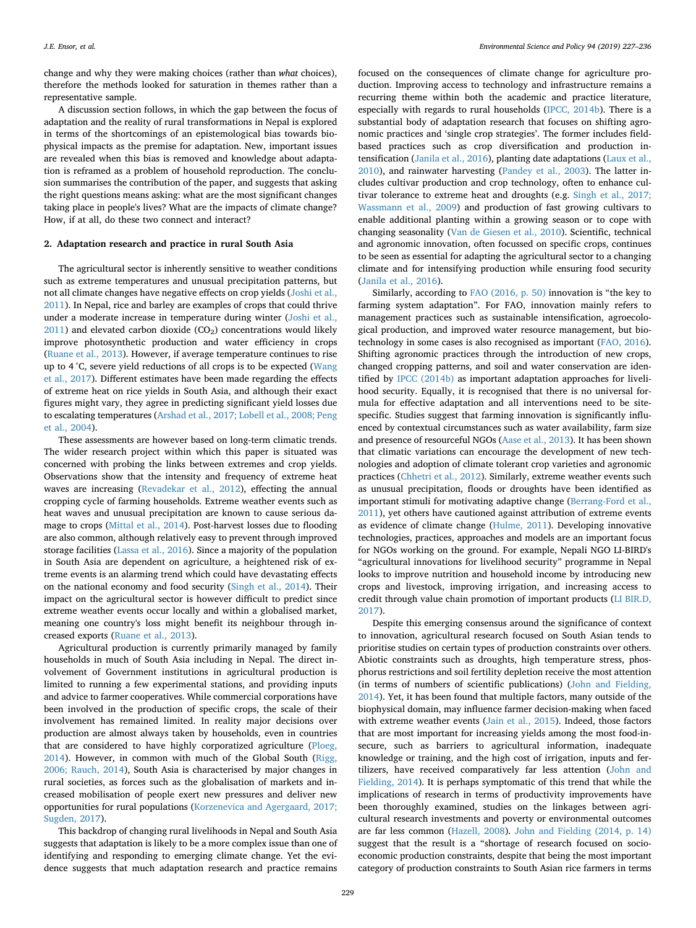change and why they were making choices (rather than *what* choices), therefore the methods looked for saturation in themes rather than a representative sample.

A discussion section follows, in which the gap between the focus of adaptation and the reality of rural transformations in Nepal is explored in terms of the shortcomings of an epistemological bias towards biophysical impacts as the premise for adaptation. New, important issues are revealed when this bias is removed and knowledge about adaptation is reframed as a problem of household reproduction. The conclusion summarises the contribution of the paper, and suggests that asking the right questions means asking: what are the most significant changes taking place in people's lives? What are the impacts of climate change? How, if at all, do these two connect and interact?

#### **2. Adaptation research and practice in rural South Asia**

The agricultural sector is inherently sensitive to weather conditions such as extreme temperatures and unusual precipitation patterns, but not all climate changes have negative effects on crop yields ([Joshi et al.,](#page-8-10) [2011\)](#page-8-10). In Nepal, rice and barley are examples of crops that could thrive under a moderate increase in temperature during winter ([Joshi et al.,](#page-8-10)  $2011$ ) and elevated carbon dioxide (CO<sub>2</sub>) concentrations would likely improve photosynthetic production and water efficiency in crops ([Ruane et al., 2013\)](#page-8-11). However, if average temperature continues to rise up to 4 °C, severe yield reductions of all crops is to be expected [\(Wang](#page-9-1) [et al., 2017](#page-9-1)). Different estimates have been made regarding the effects of extreme heat on rice yields in South Asia, and although their exact figures might vary, they agree in predicting significant yield losses due to escalating temperatures ([Arshad et al., 2017; Lobell et al., 2008; Peng](#page-7-0) [et al., 2004](#page-7-0)).

These assessments are however based on long-term climatic trends. The wider research project within which this paper is situated was concerned with probing the links between extremes and crop yields. Observations show that the intensity and frequency of extreme heat waves are increasing [\(Revadekar et al., 2012\)](#page-8-12), effecting the annual cropping cycle of farming households. Extreme weather events such as heat waves and unusual precipitation are known to cause serious damage to crops [\(Mittal et al., 2014\)](#page-8-13). Post-harvest losses due to flooding are also common, although relatively easy to prevent through improved storage facilities [\(Lassa et al., 2016](#page-8-14)). Since a majority of the population in South Asia are dependent on agriculture, a heightened risk of extreme events is an alarming trend which could have devastating effects on the national economy and food security ([Singh et al., 2014\)](#page-8-15). Their impact on the agricultural sector is however difficult to predict since extreme weather events occur locally and within a globalised market, meaning one country's loss might benefit its neighbour through increased exports [\(Ruane et al., 2013\)](#page-8-11).

Agricultural production is currently primarily managed by family households in much of South Asia including in Nepal. The direct involvement of Government institutions in agricultural production is limited to running a few experimental stations, and providing inputs and advice to farmer cooperatives. While commercial corporations have been involved in the production of specific crops, the scale of their involvement has remained limited. In reality major decisions over production are almost always taken by households, even in countries that are considered to have highly corporatized agriculture [\(Ploeg,](#page-8-16) [2014\)](#page-8-16). However, in common with much of the Global South [\(Rigg,](#page-8-17) [2006; Rauch, 2014](#page-8-17)), South Asia is characterised by major changes in rural societies, as forces such as the globalisation of markets and increased mobilisation of people exert new pressures and deliver new opportunities for rural populations [\(Korzenevica and Agergaard, 2017;](#page-8-1) [Sugden, 2017](#page-8-1)).

This backdrop of changing rural livelihoods in Nepal and South Asia suggests that adaptation is likely to be a more complex issue than one of identifying and responding to emerging climate change. Yet the evidence suggests that much adaptation research and practice remains

focused on the consequences of climate change for agriculture production. Improving access to technology and infrastructure remains a recurring theme within both the academic and practice literature, especially with regards to rural households [\(IPCC, 2014b](#page-8-18)). There is a substantial body of adaptation research that focuses on shifting agronomic practices and 'single crop strategies'. The former includes fieldbased practices such as crop diversification and production intensification [\(Janila et al., 2016\)](#page-8-3), planting date adaptations [\(Laux et al.,](#page-8-19) [2010\)](#page-8-19), and rainwater harvesting ([Pandey et al., 2003](#page-8-20)). The latter includes cultivar production and crop technology, often to enhance cultivar tolerance to extreme heat and droughts (e.g. [Singh et al., 2017;](#page-8-21) [Wassmann et al., 2009\)](#page-8-21) and production of fast growing cultivars to enable additional planting within a growing season or to cope with changing seasonality ([Van de Giesen et al., 2010](#page-9-2)). Scientific, technical and agronomic innovation, often focussed on specific crops, continues to be seen as essential for adapting the agricultural sector to a changing climate and for intensifying production while ensuring food security ([Janila et al., 2016](#page-8-3)).

Similarly, according to [FAO \(2016, p. 50\)](#page-8-4) innovation is "the key to farming system adaptation". For FAO, innovation mainly refers to management practices such as sustainable intensification, agroecological production, and improved water resource management, but biotechnology in some cases is also recognised as important [\(FAO, 2016](#page-8-4)). Shifting agronomic practices through the introduction of new crops, changed cropping patterns, and soil and water conservation are identified by [IPCC \(2014b\)](#page-8-18) as important adaptation approaches for livelihood security. Equally, it is recognised that there is no universal formula for effective adaptation and all interventions need to be sitespecific. Studies suggest that farming innovation is significantly influenced by contextual circumstances such as water availability, farm size and presence of resourceful NGOs ([Aase et al., 2013\)](#page-7-5). It has been shown that climatic variations can encourage the development of new technologies and adoption of climate tolerant crop varieties and agronomic practices [\(Chhetri et al., 2012\)](#page-7-6). Similarly, extreme weather events such as unusual precipitation, floods or droughts have been identified as important stimuli for motivating adaptive change [\(Berrang-Ford et al.,](#page-7-7) [2011\)](#page-7-7), yet others have cautioned against attribution of extreme events as evidence of climate change ([Hulme, 2011\)](#page-8-22). Developing innovative technologies, practices, approaches and models are an important focus for NGOs working on the ground. For example, Nepali NGO LI-BIRD's "agricultural innovations for livelihood security" programme in Nepal looks to improve nutrition and household income by introducing new crops and livestock, improving irrigation, and increasing access to credit through value chain promotion of important products ([LI BIR.D,](#page-8-23) [2017\)](#page-8-23).

Despite this emerging consensus around the significance of context to innovation, agricultural research focused on South Asian tends to prioritise studies on certain types of production constraints over others. Abiotic constraints such as droughts, high temperature stress, phosphorus restrictions and soil fertility depletion receive the most attention (in terms of numbers of scientific publications) ([John and Fielding,](#page-8-24) [2014\)](#page-8-24). Yet, it has been found that multiple factors, many outside of the biophysical domain, may influence farmer decision-making when faced with extreme weather events [\(Jain et al., 2015](#page-8-25)). Indeed, those factors that are most important for increasing yields among the most food-insecure, such as barriers to agricultural information, inadequate knowledge or training, and the high cost of irrigation, inputs and fertilizers, have received comparatively far less attention [\(John and](#page-8-24) [Fielding, 2014](#page-8-24)). It is perhaps symptomatic of this trend that while the implications of research in terms of productivity improvements have been thoroughly examined, studies on the linkages between agricultural research investments and poverty or environmental outcomes are far less common [\(Hazell, 2008](#page-8-26)). [John and Fielding \(2014, p. 14\)](#page-8-24) suggest that the result is a "shortage of research focused on socioeconomic production constraints, despite that being the most important category of production constraints to South Asian rice farmers in terms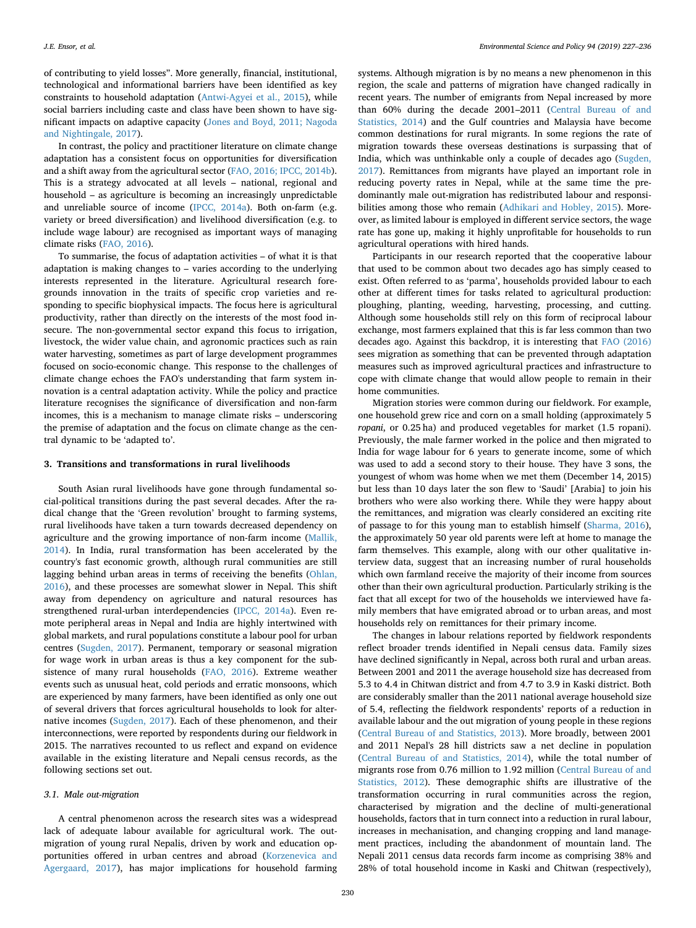of contributing to yield losses". More generally, financial, institutional, technological and informational barriers have been identified as key constraints to household adaptation [\(Antwi-Agyei et al., 2015\)](#page-7-8), while social barriers including caste and class have been shown to have significant impacts on adaptive capacity [\(Jones and Boyd, 2011; Nagoda](#page-8-27) [and Nightingale, 2017](#page-8-27)).

In contrast, the policy and practitioner literature on climate change adaptation has a consistent focus on opportunities for diversification and a shift away from the agricultural sector ([FAO, 2016; IPCC, 2014b](#page-8-4)). This is a strategy advocated at all levels – national, regional and household – as agriculture is becoming an increasingly unpredictable and unreliable source of income [\(IPCC, 2014a](#page-8-28)). Both on-farm (e.g. variety or breed diversification) and livelihood diversification (e.g. to include wage labour) are recognised as important ways of managing climate risks ([FAO, 2016](#page-8-4)).

To summarise, the focus of adaptation activities – of what it is that adaptation is making changes to – varies according to the underlying interests represented in the literature. Agricultural research foregrounds innovation in the traits of specific crop varieties and responding to specific biophysical impacts. The focus here is agricultural productivity, rather than directly on the interests of the most food insecure. The non-governmental sector expand this focus to irrigation, livestock, the wider value chain, and agronomic practices such as rain water harvesting, sometimes as part of large development programmes focused on socio-economic change. This response to the challenges of climate change echoes the FAO's understanding that farm system innovation is a central adaptation activity. While the policy and practice literature recognises the significance of diversification and non-farm incomes, this is a mechanism to manage climate risks – underscoring the premise of adaptation and the focus on climate change as the central dynamic to be 'adapted to'.

#### **3. Transitions and transformations in rural livelihoods**

South Asian rural livelihoods have gone through fundamental social-political transitions during the past several decades. After the radical change that the 'Green revolution' brought to farming systems, rural livelihoods have taken a turn towards decreased dependency on agriculture and the growing importance of non-farm income [\(Mallik,](#page-8-29) [2014\)](#page-8-29). In India, rural transformation has been accelerated by the country's fast economic growth, although rural communities are still lagging behind urban areas in terms of receiving the benefits [\(Ohlan,](#page-8-30) [2016\)](#page-8-30), and these processes are somewhat slower in Nepal. This shift away from dependency on agriculture and natural resources has strengthened rural-urban interdependencies ([IPCC, 2014a](#page-8-28)). Even remote peripheral areas in Nepal and India are highly intertwined with global markets, and rural populations constitute a labour pool for urban centres ([Sugden, 2017](#page-8-31)). Permanent, temporary or seasonal migration for wage work in urban areas is thus a key component for the subsistence of many rural households ([FAO, 2016](#page-8-4)). Extreme weather events such as unusual heat, cold periods and erratic monsoons, which are experienced by many farmers, have been identified as only one out of several drivers that forces agricultural households to look for alternative incomes [\(Sugden, 2017\)](#page-8-31). Each of these phenomenon, and their interconnections, were reported by respondents during our fieldwork in 2015. The narratives recounted to us reflect and expand on evidence available in the existing literature and Nepali census records, as the following sections set out.

#### *3.1. Male out-migration*

A central phenomenon across the research sites was a widespread lack of adequate labour available for agricultural work. The outmigration of young rural Nepalis, driven by work and education opportunities offered in urban centres and abroad ([Korzenevica and](#page-8-1) [Agergaard, 2017\)](#page-8-1), has major implications for household farming systems. Although migration is by no means a new phenomenon in this region, the scale and patterns of migration have changed radically in recent years. The number of emigrants from Nepal increased by more than 60% during the decade 2001–2011 [\(Central Bureau of and](#page-7-9) [Statistics, 2014](#page-7-9)) and the Gulf countries and Malaysia have become common destinations for rural migrants. In some regions the rate of migration towards these overseas destinations is surpassing that of India, which was unthinkable only a couple of decades ago ([Sugden,](#page-8-31) [2017\)](#page-8-31). Remittances from migrants have played an important role in reducing poverty rates in Nepal, while at the same time the predominantly male out-migration has redistributed labour and responsibilities among those who remain ([Adhikari and Hobley, 2015\)](#page-7-10). Moreover, as limited labour is employed in different service sectors, the wage rate has gone up, making it highly unprofitable for households to run agricultural operations with hired hands.

Participants in our research reported that the cooperative labour that used to be common about two decades ago has simply ceased to exist. Often referred to as 'parma', households provided labour to each other at different times for tasks related to agricultural production: ploughing, planting, weeding, harvesting, processing, and cutting. Although some households still rely on this form of reciprocal labour exchange, most farmers explained that this is far less common than two decades ago. Against this backdrop, it is interesting that [FAO \(2016\)](#page-8-4) sees migration as something that can be prevented through adaptation measures such as improved agricultural practices and infrastructure to cope with climate change that would allow people to remain in their home communities.

Migration stories were common during our fieldwork. For example, one household grew rice and corn on a small holding (approximately 5 *ropani*, or 0.25 ha) and produced vegetables for market (1.5 ropani). Previously, the male farmer worked in the police and then migrated to India for wage labour for 6 years to generate income, some of which was used to add a second story to their house. They have 3 sons, the youngest of whom was home when we met them (December 14, 2015) but less than 10 days later the son flew to 'Saudi' [Arabia] to join his brothers who were also working there. While they were happy about the remittances, and migration was clearly considered an exciting rite of passage to for this young man to establish himself ([Sharma, 2016](#page-8-32)), the approximately 50 year old parents were left at home to manage the farm themselves. This example, along with our other qualitative interview data, suggest that an increasing number of rural households which own farmland receive the majority of their income from sources other than their own agricultural production. Particularly striking is the fact that all except for two of the households we interviewed have family members that have emigrated abroad or to urban areas, and most households rely on remittances for their primary income.

The changes in labour relations reported by fieldwork respondents reflect broader trends identified in Nepali census data. Family sizes have declined significantly in Nepal, across both rural and urban areas. Between 2001 and 2011 the average household size has decreased from 5.3 to 4.4 in Chitwan district and from 4.7 to 3.9 in Kaski district. Both are considerably smaller than the 2011 national average household size of 5.4, reflecting the fieldwork respondents' reports of a reduction in available labour and the out migration of young people in these regions ([Central Bureau of and Statistics, 2013\)](#page-7-11). More broadly, between 2001 and 2011 Nepal's 28 hill districts saw a net decline in population ([Central Bureau of and Statistics, 2014\)](#page-7-9), while the total number of migrants rose from 0.76 million to 1.92 million ([Central Bureau of and](#page-7-12) [Statistics, 2012](#page-7-12)). These demographic shifts are illustrative of the transformation occurring in rural communities across the region, characterised by migration and the decline of multi-generational households, factors that in turn connect into a reduction in rural labour, increases in mechanisation, and changing cropping and land management practices, including the abandonment of mountain land. The Nepali 2011 census data records farm income as comprising 38% and 28% of total household income in Kaski and Chitwan (respectively),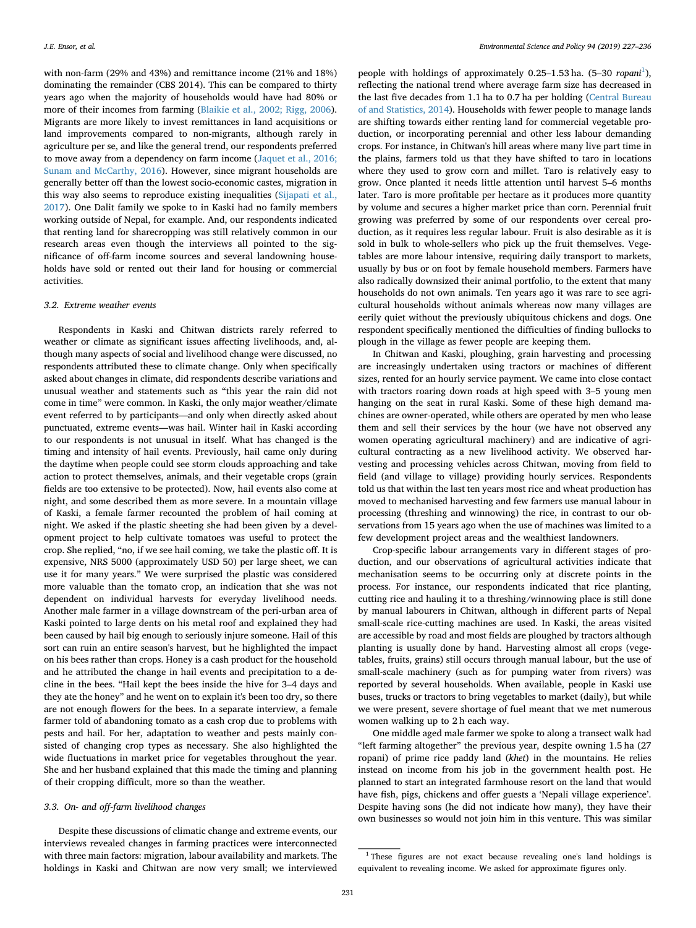with non-farm (29% and 43%) and remittance income (21% and 18%) dominating the remainder (CBS 2014). This can be compared to thirty years ago when the majority of households would have had 80% or more of their incomes from farming ([Blaikie et al., 2002; Rigg, 2006](#page-7-13)). Migrants are more likely to invest remittances in land acquisitions or land improvements compared to non-migrants, although rarely in agriculture per se, and like the general trend, our respondents preferred to move away from a dependency on farm income ([Jaquet et al., 2016;](#page-8-33) [Sunam and McCarthy, 2016](#page-8-33)). However, since migrant households are generally better off than the lowest socio-economic castes, migration in this way also seems to reproduce existing inequalities [\(Sijapati et al.,](#page-8-34) [2017\)](#page-8-34). One Dalit family we spoke to in Kaski had no family members working outside of Nepal, for example. And, our respondents indicated that renting land for sharecropping was still relatively common in our research areas even though the interviews all pointed to the significance of off-farm income sources and several landowning households have sold or rented out their land for housing or commercial activities.

#### *3.2. Extreme weather events*

Respondents in Kaski and Chitwan districts rarely referred to weather or climate as significant issues affecting livelihoods, and, although many aspects of social and livelihood change were discussed, no respondents attributed these to climate change. Only when specifically asked about changes in climate, did respondents describe variations and unusual weather and statements such as "this year the rain did not come in time" were common. In Kaski, the only major weather/climate event referred to by participants—and only when directly asked about punctuated, extreme events—was hail. Winter hail in Kaski according to our respondents is not unusual in itself. What has changed is the timing and intensity of hail events. Previously, hail came only during the daytime when people could see storm clouds approaching and take action to protect themselves, animals, and their vegetable crops (grain fields are too extensive to be protected). Now, hail events also come at night, and some described them as more severe. In a mountain village of Kaski, a female farmer recounted the problem of hail coming at night. We asked if the plastic sheeting she had been given by a development project to help cultivate tomatoes was useful to protect the crop. She replied, "no, if we see hail coming, we take the plastic off. It is expensive, NRS 5000 (approximately USD 50) per large sheet, we can use it for many years." We were surprised the plastic was considered more valuable than the tomato crop, an indication that she was not dependent on individual harvests for everyday livelihood needs. Another male farmer in a village downstream of the peri-urban area of Kaski pointed to large dents on his metal roof and explained they had been caused by hail big enough to seriously injure someone. Hail of this sort can ruin an entire season's harvest, but he highlighted the impact on his bees rather than crops. Honey is a cash product for the household and he attributed the change in hail events and precipitation to a decline in the bees. "Hail kept the bees inside the hive for 3–4 days and they ate the honey" and he went on to explain it's been too dry, so there are not enough flowers for the bees. In a separate interview, a female farmer told of abandoning tomato as a cash crop due to problems with pests and hail. For her, adaptation to weather and pests mainly consisted of changing crop types as necessary. She also highlighted the wide fluctuations in market price for vegetables throughout the year. She and her husband explained that this made the timing and planning of their cropping difficult, more so than the weather.

#### *3.3. On- and off-farm livelihood changes*

Despite these discussions of climatic change and extreme events, our interviews revealed changes in farming practices were interconnected with three main factors: migration, labour availability and markets. The holdings in Kaski and Chitwan are now very small; we interviewed

people with holdings of approximately 0.25-[1](#page-4-0).53 ha. (5-30 *ropani<sup>1</sup>*), reflecting the national trend where average farm size has decreased in the last five decades from 1.1 ha to 0.7 ha per holding [\(Central Bureau](#page-7-9) [of and Statistics, 2014](#page-7-9)). Households with fewer people to manage lands are shifting towards either renting land for commercial vegetable production, or incorporating perennial and other less labour demanding crops. For instance, in Chitwan's hill areas where many live part time in the plains, farmers told us that they have shifted to taro in locations where they used to grow corn and millet. Taro is relatively easy to grow. Once planted it needs little attention until harvest 5–6 months later. Taro is more profitable per hectare as it produces more quantity by volume and secures a higher market price than corn. Perennial fruit growing was preferred by some of our respondents over cereal production, as it requires less regular labour. Fruit is also desirable as it is sold in bulk to whole-sellers who pick up the fruit themselves. Vegetables are more labour intensive, requiring daily transport to markets, usually by bus or on foot by female household members. Farmers have also radically downsized their animal portfolio, to the extent that many households do not own animals. Ten years ago it was rare to see agricultural households without animals whereas now many villages are eerily quiet without the previously ubiquitous chickens and dogs. One respondent specifically mentioned the difficulties of finding bullocks to plough in the village as fewer people are keeping them.

In Chitwan and Kaski, ploughing, grain harvesting and processing are increasingly undertaken using tractors or machines of different sizes, rented for an hourly service payment. We came into close contact with tractors roaring down roads at high speed with 3–5 young men hanging on the seat in rural Kaski. Some of these high demand machines are owner-operated, while others are operated by men who lease them and sell their services by the hour (we have not observed any women operating agricultural machinery) and are indicative of agricultural contracting as a new livelihood activity. We observed harvesting and processing vehicles across Chitwan, moving from field to field (and village to village) providing hourly services. Respondents told us that within the last ten years most rice and wheat production has moved to mechanised harvesting and few farmers use manual labour in processing (threshing and winnowing) the rice, in contrast to our observations from 15 years ago when the use of machines was limited to a few development project areas and the wealthiest landowners.

Crop-specific labour arrangements vary in different stages of production, and our observations of agricultural activities indicate that mechanisation seems to be occurring only at discrete points in the process. For instance, our respondents indicated that rice planting, cutting rice and hauling it to a threshing/winnowing place is still done by manual labourers in Chitwan, although in different parts of Nepal small-scale rice-cutting machines are used. In Kaski, the areas visited are accessible by road and most fields are ploughed by tractors although planting is usually done by hand. Harvesting almost all crops (vegetables, fruits, grains) still occurs through manual labour, but the use of small-scale machinery (such as for pumping water from rivers) was reported by several households. When available, people in Kaski use buses, trucks or tractors to bring vegetables to market (daily), but while we were present, severe shortage of fuel meant that we met numerous women walking up to 2 h each way.

One middle aged male farmer we spoke to along a transect walk had "left farming altogether" the previous year, despite owning 1.5 ha (27 ropani) of prime rice paddy land (*khet*) in the mountains. He relies instead on income from his job in the government health post. He planned to start an integrated farmhouse resort on the land that would have fish, pigs, chickens and offer guests a 'Nepali village experience'. Despite having sons (he did not indicate how many), they have their own businesses so would not join him in this venture. This was similar

<span id="page-4-0"></span><sup>&</sup>lt;sup>1</sup> These figures are not exact because revealing one's land holdings is equivalent to revealing income. We asked for approximate figures only.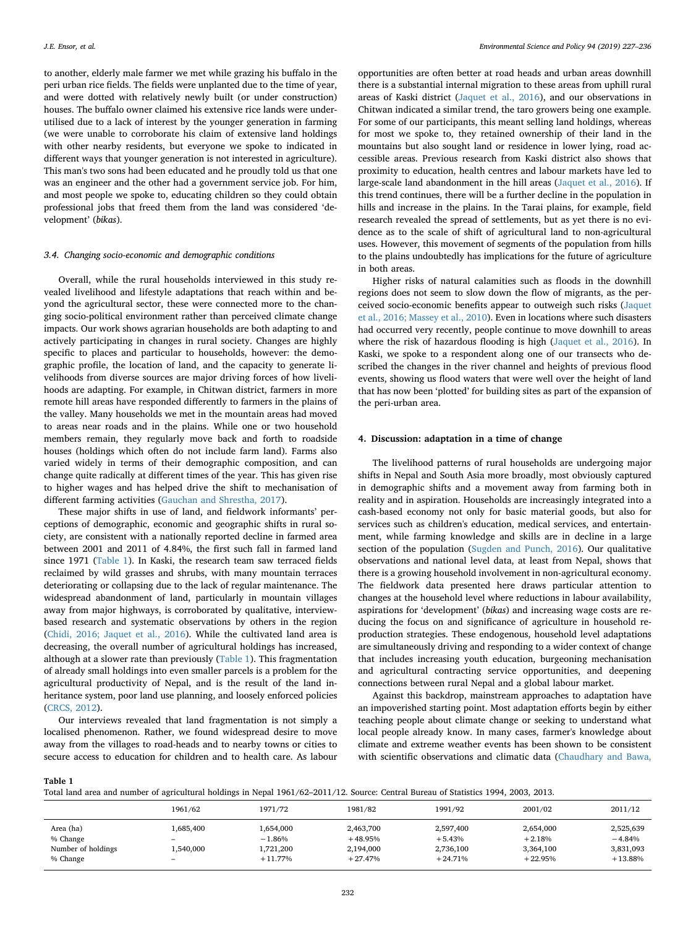to another, elderly male farmer we met while grazing his buffalo in the peri urban rice fields. The fields were unplanted due to the time of year, and were dotted with relatively newly built (or under construction) houses. The buffalo owner claimed his extensive rice lands were underutilised due to a lack of interest by the younger generation in farming (we were unable to corroborate his claim of extensive land holdings with other nearby residents, but everyone we spoke to indicated in different ways that younger generation is not interested in agriculture). This man's two sons had been educated and he proudly told us that one was an engineer and the other had a government service job. For him, and most people we spoke to, educating children so they could obtain professional jobs that freed them from the land was considered 'development' (*bikas*).

#### *3.4. Changing socio-economic and demographic conditions*

Overall, while the rural households interviewed in this study revealed livelihood and lifestyle adaptations that reach within and beyond the agricultural sector, these were connected more to the changing socio-political environment rather than perceived climate change impacts. Our work shows agrarian households are both adapting to and actively participating in changes in rural society. Changes are highly specific to places and particular to households, however: the demographic profile, the location of land, and the capacity to generate livelihoods from diverse sources are major driving forces of how livelihoods are adapting. For example, in Chitwan district, farmers in more remote hill areas have responded differently to farmers in the plains of the valley. Many households we met in the mountain areas had moved to areas near roads and in the plains. While one or two household members remain, they regularly move back and forth to roadside houses (holdings which often do not include farm land). Farms also varied widely in terms of their demographic composition, and can change quite radically at different times of the year. This has given rise to higher wages and has helped drive the shift to mechanisation of different farming activities [\(Gauchan and Shrestha, 2017\)](#page-8-35).

These major shifts in use of land, and fieldwork informants' perceptions of demographic, economic and geographic shifts in rural society, are consistent with a nationally reported decline in farmed area between 2001 and 2011 of 4.84%, the first such fall in farmed land since 1971 ([Table 1\)](#page-5-0). In Kaski, the research team saw terraced fields reclaimed by wild grasses and shrubs, with many mountain terraces deteriorating or collapsing due to the lack of regular maintenance. The widespread abandonment of land, particularly in mountain villages away from major highways, is corroborated by qualitative, interviewbased research and systematic observations by others in the region ([Chidi, 2016; Jaquet et al., 2016\)](#page-7-14). While the cultivated land area is decreasing, the overall number of agricultural holdings has increased, although at a slower rate than previously ([Table 1](#page-5-0)). This fragmentation of already small holdings into even smaller parcels is a problem for the agricultural productivity of Nepal, and is the result of the land inheritance system, poor land use planning, and loosely enforced policies ([CRCS, 2012\)](#page-7-15).

Our interviews revealed that land fragmentation is not simply a localised phenomenon. Rather, we found widespread desire to move away from the villages to road-heads and to nearby towns or cities to secure access to education for children and to health care. As labour

opportunities are often better at road heads and urban areas downhill there is a substantial internal migration to these areas from uphill rural areas of Kaski district ([Jaquet et al., 2016](#page-8-33)), and our observations in Chitwan indicated a similar trend, the taro growers being one example. For some of our participants, this meant selling land holdings, whereas for most we spoke to, they retained ownership of their land in the mountains but also sought land or residence in lower lying, road accessible areas. Previous research from Kaski district also shows that proximity to education, health centres and labour markets have led to large-scale land abandonment in the hill areas ([Jaquet et al., 2016\)](#page-8-33). If this trend continues, there will be a further decline in the population in hills and increase in the plains. In the Tarai plains, for example, field research revealed the spread of settlements, but as yet there is no evidence as to the scale of shift of agricultural land to non-agricultural uses. However, this movement of segments of the population from hills to the plains undoubtedly has implications for the future of agriculture in both areas.

Higher risks of natural calamities such as floods in the downhill regions does not seem to slow down the flow of migrants, as the perceived socio-economic benefits appear to outweigh such risks [\(Jaquet](#page-8-33) [et al., 2016; Massey et al., 2010\)](#page-8-33). Even in locations where such disasters had occurred very recently, people continue to move downhill to areas where the risk of hazardous flooding is high ([Jaquet et al., 2016](#page-8-33)). In Kaski, we spoke to a respondent along one of our transects who described the changes in the river channel and heights of previous flood events, showing us flood waters that were well over the height of land that has now been 'plotted' for building sites as part of the expansion of the peri-urban area.

#### **4. Discussion: adaptation in a time of change**

The livelihood patterns of rural households are undergoing major shifts in Nepal and South Asia more broadly, most obviously captured in demographic shifts and a movement away from farming both in reality and in aspiration. Households are increasingly integrated into a cash-based economy not only for basic material goods, but also for services such as children's education, medical services, and entertainment, while farming knowledge and skills are in decline in a large section of the population ([Sugden and Punch, 2016\)](#page-9-3). Our qualitative observations and national level data, at least from Nepal, shows that there is a growing household involvement in non-agricultural economy. The fieldwork data presented here draws particular attention to changes at the household level where reductions in labour availability, aspirations for 'development' (*bikas*) and increasing wage costs are reducing the focus on and significance of agriculture in household reproduction strategies. These endogenous, household level adaptations are simultaneously driving and responding to a wider context of change that includes increasing youth education, burgeoning mechanisation and agricultural contracting service opportunities, and deepening connections between rural Nepal and a global labour market.

Against this backdrop, mainstream approaches to adaptation have an impoverished starting point. Most adaptation efforts begin by either teaching people about climate change or seeking to understand what local people already know. In many cases, farmer's knowledge about climate and extreme weather events has been shown to be consistent with scientific observations and climatic data ([Chaudhary and Bawa,](#page-7-16)

<span id="page-5-0"></span>**Table 1**

Total land area and number of agricultural holdings in Nepal 1961/62–2011/12. Source: Central Bureau of Statistics 1994, 2003, 2013.

|                    | 1961/62   | 1971/72   | 1981/82   | 1991/92   | 2001/02   | 2011/12   |
|--------------------|-----------|-----------|-----------|-----------|-----------|-----------|
| Area (ha)          | 1.685.400 | 1,654,000 | 2,463,700 | 2,597,400 | 2,654,000 | 2,525,639 |
| % Change           | -         | $-1.86%$  | $+48.95%$ | $+5.43%$  | $+2.18%$  | $-4.84%$  |
| Number of holdings | 1,540,000 | 1,721,200 | 2,194,000 | 2,736,100 | 3,364,100 | 3,831,093 |
| % Change           | -         | $+11.77%$ | $+27.47%$ | $+24.71%$ | $+22.95%$ | $+13.88%$ |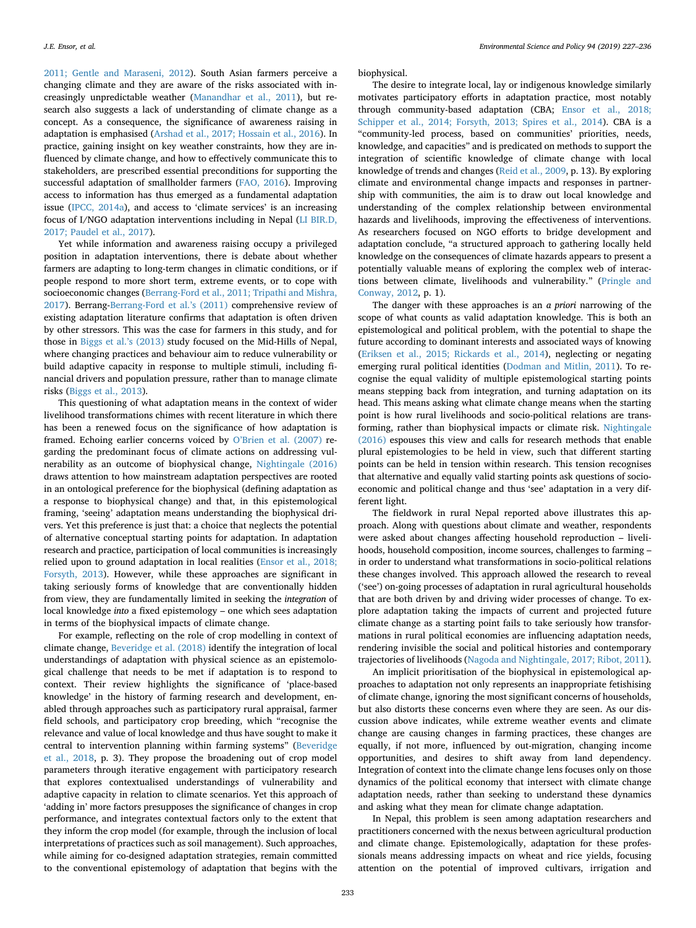[2011; Gentle and Maraseni, 2012\)](#page-7-16). South Asian farmers perceive a changing climate and they are aware of the risks associated with increasingly unpredictable weather ([Manandhar et al., 2011\)](#page-8-36), but research also suggests a lack of understanding of climate change as a concept. As a consequence, the significance of awareness raising in adaptation is emphasised ([Arshad et al., 2017; Hossain et al., 2016\)](#page-7-0). In practice, gaining insight on key weather constraints, how they are influenced by climate change, and how to effectively communicate this to stakeholders, are prescribed essential preconditions for supporting the successful adaptation of smallholder farmers ([FAO, 2016\)](#page-8-4). Improving access to information has thus emerged as a fundamental adaptation issue [\(IPCC, 2014a](#page-8-28)), and access to 'climate services' is an increasing focus of I/NGO adaptation interventions including in Nepal [\(LI BIR.D,](#page-8-23) [2017; Paudel et al., 2017\)](#page-8-23).

Yet while information and awareness raising occupy a privileged position in adaptation interventions, there is debate about whether farmers are adapting to long-term changes in climatic conditions, or if people respond to more short term, extreme events, or to cope with socioeconomic changes [\(Berrang-Ford et al., 2011; Tripathi and Mishra,](#page-7-7) [2017\)](#page-7-7). Berrang[-Berrang-Ford et al.'s \(2011\)](#page-7-7) comprehensive review of existing adaptation literature confirms that adaptation is often driven by other stressors. This was the case for farmers in this study, and for those in [Biggs et al.'s \(2013\)](#page-7-17) study focused on the Mid-Hills of Nepal, where changing practices and behaviour aim to reduce vulnerability or build adaptive capacity in response to multiple stimuli, including financial drivers and population pressure, rather than to manage climate risks [\(Biggs et al., 2013\)](#page-7-17).

This questioning of what adaptation means in the context of wider livelihood transformations chimes with recent literature in which there has been a renewed focus on the significance of how adaptation is framed. Echoing earlier concerns voiced by [O'Brien et al. \(2007\)](#page-8-6) regarding the predominant focus of climate actions on addressing vulnerability as an outcome of biophysical change, [Nightingale \(2016\)](#page-8-9) draws attention to how mainstream adaptation perspectives are rooted in an ontological preference for the biophysical (defining adaptation as a response to biophysical change) and that, in this epistemological framing, 'seeing' adaptation means understanding the biophysical drivers. Yet this preference is just that: a choice that neglects the potential of alternative conceptual starting points for adaptation. In adaptation research and practice, participation of local communities is increasingly relied upon to ground adaptation in local realities ([Ensor et al., 2018;](#page-7-18) [Forsyth, 2013](#page-7-18)). However, while these approaches are significant in taking seriously forms of knowledge that are conventionally hidden from view, they are fundamentally limited in seeking the *integration* of local knowledge *into* a fixed epistemology – one which sees adaptation in terms of the biophysical impacts of climate change.

For example, reflecting on the role of crop modelling in context of climate change, [Beveridge et al. \(2018\)](#page-7-19) identify the integration of local understandings of adaptation with physical science as an epistemological challenge that needs to be met if adaptation is to respond to context. Their review highlights the significance of 'place-based knowledge' in the history of farming research and development, enabled through approaches such as participatory rural appraisal, farmer field schools, and participatory crop breeding, which "recognise the relevance and value of local knowledge and thus have sought to make it central to intervention planning within farming systems" ([Beveridge](#page-7-19) [et al., 2018,](#page-7-19) p. 3). They propose the broadening out of crop model parameters through iterative engagement with participatory research that explores contextualised understandings of vulnerability and adaptive capacity in relation to climate scenarios. Yet this approach of 'adding in' more factors presupposes the significance of changes in crop performance, and integrates contextual factors only to the extent that they inform the crop model (for example, through the inclusion of local interpretations of practices such as soil management). Such approaches, while aiming for co-designed adaptation strategies, remain committed to the conventional epistemology of adaptation that begins with the biophysical.

The desire to integrate local, lay or indigenous knowledge similarly motivates participatory efforts in adaptation practice, most notably through community-based adaptation (CBA; [Ensor et al., 2018;](#page-7-18) [Schipper et al., 2014; Forsyth, 2013; Spires et al., 2014\)](#page-7-18). CBA is a "community-led process, based on communities' priorities, needs, knowledge, and capacities" and is predicated on methods to support the integration of scientific knowledge of climate change with local knowledge of trends and changes [\(Reid et al., 2009](#page-8-37), p. 13). By exploring climate and environmental change impacts and responses in partnership with communities, the aim is to draw out local knowledge and understanding of the complex relationship between environmental hazards and livelihoods, improving the effectiveness of interventions. As researchers focused on NGO efforts to bridge development and adaptation conclude, "a structured approach to gathering locally held knowledge on the consequences of climate hazards appears to present a potentially valuable means of exploring the complex web of interactions between climate, livelihoods and vulnerability." ([Pringle and](#page-8-38) [Conway, 2012,](#page-8-38) p. 1).

The danger with these approaches is an *a priori* narrowing of the scope of what counts as valid adaptation knowledge. This is both an epistemological and political problem, with the potential to shape the future according to dominant interests and associated ways of knowing ([Eriksen et al., 2015; Rickards et al., 2014](#page-8-8)), neglecting or negating emerging rural political identities ([Dodman and Mitlin, 2011\)](#page-7-20). To recognise the equal validity of multiple epistemological starting points means stepping back from integration, and turning adaptation on its head. This means asking what climate change means when the starting point is how rural livelihoods and socio-political relations are transforming, rather than biophysical impacts or climate risk. [Nightingale](#page-8-9) [\(2016\)](#page-8-9) espouses this view and calls for research methods that enable plural epistemologies to be held in view, such that different starting points can be held in tension within research. This tension recognises that alternative and equally valid starting points ask questions of socioeconomic and political change and thus 'see' adaptation in a very different light.

The fieldwork in rural Nepal reported above illustrates this approach. Along with questions about climate and weather, respondents were asked about changes affecting household reproduction – livelihoods, household composition, income sources, challenges to farming – in order to understand what transformations in socio-political relations these changes involved. This approach allowed the research to reveal ('see') on-going processes of adaptation in rural agricultural households that are both driven by and driving wider processes of change. To explore adaptation taking the impacts of current and projected future climate change as a starting point fails to take seriously how transformations in rural political economies are influencing adaptation needs, rendering invisible the social and political histories and contemporary trajectories of livelihoods [\(Nagoda and Nightingale, 2017; Ribot, 2011](#page-8-39)).

An implicit prioritisation of the biophysical in epistemological approaches to adaptation not only represents an inappropriate fetishising of climate change, ignoring the most significant concerns of households, but also distorts these concerns even where they are seen. As our discussion above indicates, while extreme weather events and climate change are causing changes in farming practices, these changes are equally, if not more, influenced by out-migration, changing income opportunities, and desires to shift away from land dependency. Integration of context into the climate change lens focuses only on those dynamics of the political economy that intersect with climate change adaptation needs, rather than seeking to understand these dynamics and asking what they mean for climate change adaptation.

In Nepal, this problem is seen among adaptation researchers and practitioners concerned with the nexus between agricultural production and climate change. Epistemologically, adaptation for these professionals means addressing impacts on wheat and rice yields, focusing attention on the potential of improved cultivars, irrigation and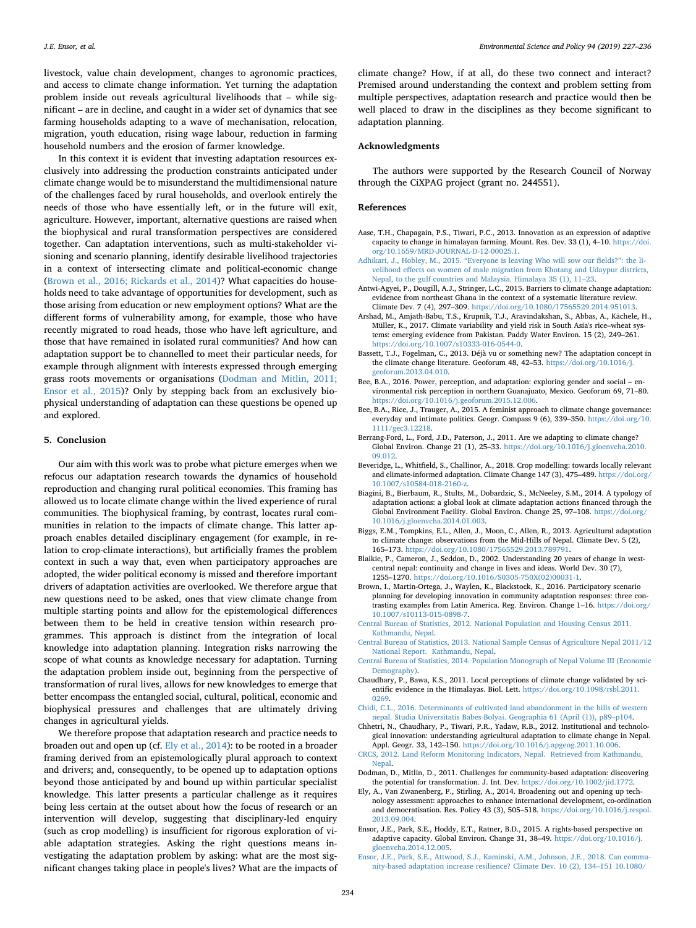livestock, value chain development, changes to agronomic practices, and access to climate change information. Yet turning the adaptation problem inside out reveals agricultural livelihoods that – while significant – are in decline, and caught in a wider set of dynamics that see farming households adapting to a wave of mechanisation, relocation, migration, youth education, rising wage labour, reduction in farming household numbers and the erosion of farmer knowledge.

In this context it is evident that investing adaptation resources exclusively into addressing the production constraints anticipated under climate change would be to misunderstand the multidimensional nature of the challenges faced by rural households, and overlook entirely the needs of those who have essentially left, or in the future will exit, agriculture. However, important, alternative questions are raised when the biophysical and rural transformation perspectives are considered together. Can adaptation interventions, such as multi-stakeholder visioning and scenario planning, identify desirable livelihood trajectories in a context of intersecting climate and political-economic change ([Brown et al., 2016; Rickards et al., 2014\)](#page-7-21)? What capacities do households need to take advantage of opportunities for development, such as those arising from education or new employment options? What are the different forms of vulnerability among, for example, those who have recently migrated to road heads, those who have left agriculture, and those that have remained in isolated rural communities? And how can adaptation support be to channelled to meet their particular needs, for example through alignment with interests expressed through emerging grass roots movements or organisations [\(Dodman and Mitlin, 2011;](#page-7-20) [Ensor et al., 2015\)](#page-7-20)? Only by stepping back from an exclusively biophysical understanding of adaptation can these questions be opened up and explored.

#### **5. Conclusion**

Our aim with this work was to probe what picture emerges when we refocus our adaptation research towards the dynamics of household reproduction and changing rural political economies. This framing has allowed us to locate climate change within the lived experience of rural communities. The biophysical framing, by contrast, locates rural communities in relation to the impacts of climate change. This latter approach enables detailed disciplinary engagement (for example, in relation to crop-climate interactions), but artificially frames the problem context in such a way that, even when participatory approaches are adopted, the wider political economy is missed and therefore important drivers of adaptation activities are overlooked. We therefore argue that new questions need to be asked, ones that view climate change from multiple starting points and allow for the epistemological differences between them to be held in creative tension within research programmes. This approach is distinct from the integration of local knowledge into adaptation planning. Integration risks narrowing the scope of what counts as knowledge necessary for adaptation. Turning the adaptation problem inside out, beginning from the perspective of transformation of rural lives, allows for new knowledges to emerge that better encompass the entangled social, cultural, political, economic and biophysical pressures and challenges that are ultimately driving changes in agricultural yields.

We therefore propose that adaptation research and practice needs to broaden out and open up (cf. [Ely et al., 2014](#page-7-22)): to be rooted in a broader framing derived from an epistemologically plural approach to context and drivers; and, consequently, to be opened up to adaptation options beyond those anticipated by and bound up within particular specialist knowledge. This latter presents a particular challenge as it requires being less certain at the outset about how the focus of research or an intervention will develop, suggesting that disciplinary-led enquiry (such as crop modelling) is insufficient for rigorous exploration of viable adaptation strategies. Asking the right questions means investigating the adaptation problem by asking: what are the most significant changes taking place in people's lives? What are the impacts of

climate change? How, if at all, do these two connect and interact? Premised around understanding the context and problem setting from multiple perspectives, adaptation research and practice would then be well placed to draw in the disciplines as they become significant to adaptation planning.

#### **Acknowledgments**

The authors were supported by the Research Council of Norway through the CiXPAG project (grant no. 244551).

#### **References**

- <span id="page-7-5"></span>Aase, T.H., Chapagain, P.S., Tiwari, P.C., 2013. Innovation as an expression of adaptive capacity to change in himalayan farming. Mount. Res. Dev. 33 (1), 4–10. [https://doi.](https://doi.org/10.1659/MRD-JOURNAL-D-12-00025.1) [org/10.1659/MRD-JOURNAL-D-12-00025.1](https://doi.org/10.1659/MRD-JOURNAL-D-12-00025.1).
- <span id="page-7-10"></span>[Adhikari, J., Hobley, M., 2015. "Everyone is leaving Who will sow our fields?": the li](http://refhub.elsevier.com/S1462-9011(18)31107-9/sbref0010)[velihood effects on women of male migration from Khotang and Udaypur districts,](http://refhub.elsevier.com/S1462-9011(18)31107-9/sbref0010) [Nepal, to the gulf countries and Malaysia. Himalaya 35 \(1\), 11–23.](http://refhub.elsevier.com/S1462-9011(18)31107-9/sbref0010)
- <span id="page-7-8"></span>Antwi-Agyei, P., Dougill, A.J., Stringer, L.C., 2015. Barriers to climate change adaptation: evidence from northeast Ghana in the context of a systematic literature review. Climate Dev. 7 (4), 297–309. [https://doi.org/10.1080/17565529.2014.951013.](https://doi.org/10.1080/17565529.2014.951013)
- <span id="page-7-0"></span>Arshad, M., Amjath-Babu, T.S., Krupnik, T.J., Aravindakshan, S., Abbas, A., Kächele, H., Müller, K., 2017. Climate variability and yield risk in South Asia's rice–wheat systems: emerging evidence from Pakistan. Paddy Water Environ. 15 (2), 249–261. [https://doi.org/10.1007/s10333-016-0544-0.](https://doi.org/10.1007/s10333-016-0544-0)
- <span id="page-7-2"></span>Bassett, T.J., Fogelman, C., 2013. Déjà vu or something new? The adaptation concept in the climate change literature. Geoforum 48, 42–53. [https://doi.org/10.1016/j.](https://doi.org/10.1016/j.geoforum.2013.04.010) [geoforum.2013.04.010](https://doi.org/10.1016/j.geoforum.2013.04.010).
- <span id="page-7-4"></span>Bee, B.A., 2016. Power, perception, and adaptation: exploring gender and social – environmental risk perception in northern Guanajuato, Mexico. Geoforum 69, 71–80. [https://doi.org/10.1016/j.geoforum.2015.12.006.](https://doi.org/10.1016/j.geoforum.2015.12.006)
- <span id="page-7-3"></span>Bee, B.A., Rice, J., Trauger, A., 2015. A feminist approach to climate change governance: everyday and intimate politics. Geogr. Compass 9 (6), 339–350. [https://doi.org/10.](https://doi.org/10.1111/gec3.12218) [1111/gec3.12218.](https://doi.org/10.1111/gec3.12218)
- <span id="page-7-7"></span>Berrang-Ford, L., Ford, J.D., Paterson, J., 2011. Are we adapting to climate change? Global Environ. Change 21 (1), 25–33. [https://doi.org/10.1016/j.gloenvcha.2010.](https://doi.org/10.1016/j.gloenvcha.2010.09.012) [09.012](https://doi.org/10.1016/j.gloenvcha.2010.09.012).
- <span id="page-7-19"></span>Beveridge, L., Whitfield, S., Challinor, A., 2018. Crop modelling: towards locally relevant and climate-informed adaptation. Climate Change 147 (3), 475–489. [https://doi.org/](https://doi.org/10.1007/s10584-018-2160-z) [10.1007/s10584-018-2160-z.](https://doi.org/10.1007/s10584-018-2160-z)
- <span id="page-7-1"></span>Biagini, B., Bierbaum, R., Stults, M., Dobardzic, S., McNeeley, S.M., 2014. A typology of adaptation actions: a global look at climate adaptation actions financed through the Global Environment Facility. Global Environ. Change 25, 97–108. [https://doi.org/](https://doi.org/10.1016/j.gloenvcha.2014.01.003) [10.1016/j.gloenvcha.2014.01.003](https://doi.org/10.1016/j.gloenvcha.2014.01.003).
- <span id="page-7-17"></span>Biggs, E.M., Tompkins, E.L., Allen, J., Moon, C., Allen, R., 2013. Agricultural adaptation to climate change: observations from the Mid-Hills of Nepal. Climate Dev. 5 (2), 165–173. <https://doi.org/10.1080/17565529.2013.789791>.
- <span id="page-7-13"></span>Blaikie, P., Cameron, J., Seddon, D., 2002. Understanding 20 years of change in westcentral nepal: continuity and change in lives and ideas. World Dev. 30 (7), 1255–1270. [https://doi.org/10.1016/S0305-750X\(02\)00031-1](https://doi.org/10.1016/S0305-750X(02)00031-1).
- <span id="page-7-21"></span>Brown, I., Martin-Ortega, J., Waylen, K., Blackstock, K., 2016. Participatory scenario planning for developing innovation in community adaptation responses: three contrasting examples from Latin America. Reg. Environ. Change 1–16. [https://doi.org/](https://doi.org/10.1007/s10113-015-0898-7) [10.1007/s10113-015-0898-7](https://doi.org/10.1007/s10113-015-0898-7).
- <span id="page-7-12"></span>[Central Bureau of Statistics, 2012. National Population and Housing Census 2011.](http://refhub.elsevier.com/S1462-9011(18)31107-9/sbref0070) [Kathmandu, Nepal.](http://refhub.elsevier.com/S1462-9011(18)31107-9/sbref0070)
- <span id="page-7-11"></span>[Central Bureau of Statistics, 2013. National Sample Census of Agriculture Nepal 2011/12](http://refhub.elsevier.com/S1462-9011(18)31107-9/sbref0075) [National Report. Kathmandu, Nepal.](http://refhub.elsevier.com/S1462-9011(18)31107-9/sbref0075)
- <span id="page-7-9"></span>[Central Bureau of Statistics, 2014. Population Monograph of Nepal Volume III \(Economic](http://refhub.elsevier.com/S1462-9011(18)31107-9/sbref0080) [Demography\)](http://refhub.elsevier.com/S1462-9011(18)31107-9/sbref0080).
- <span id="page-7-16"></span>Chaudhary, P., Bawa, K.S., 2011. Local perceptions of climate change validated by scientific evidence in the Himalayas. Biol. Lett. [https://doi.org/10.1098/rsbl.2011.](https://doi.org/10.1098/rsbl.2011.0269) [0269.](https://doi.org/10.1098/rsbl.2011.0269)
- <span id="page-7-14"></span>[Chidi, C.L., 2016. Determinants of cultivated land abandonment in the hills of western](http://refhub.elsevier.com/S1462-9011(18)31107-9/sbref0090) [nepal. Studia Universitatis Babes-Bolyai. Geographia 61 \(April \(1\)\), p89–p104](http://refhub.elsevier.com/S1462-9011(18)31107-9/sbref0090).
- <span id="page-7-6"></span>Chhetri, N., Chaudhary, P., Tiwari, P.R., Yadaw, R.B., 2012. Institutional and technological innovation: understanding agricultural adaptation to climate change in Nepal. Appl. Geogr. 33, 142–150. <https://doi.org/10.1016/j.apgeog.2011.10.006>.
- <span id="page-7-15"></span>[CRCS, 2012. Land Reform Monitoring Indicators, Nepal. Retrieved from Kathmandu,](http://refhub.elsevier.com/S1462-9011(18)31107-9/sbref0100) [Nepal.](http://refhub.elsevier.com/S1462-9011(18)31107-9/sbref0100)
- <span id="page-7-20"></span>Dodman, D., Mitlin, D., 2011. Challenges for community-based adaptation: discovering the potential for transformation. J. Int. Dev. [https://doi.org/10.1002/jid.1772.](https://doi.org/10.1002/jid.1772)
- <span id="page-7-22"></span>Ely, A., Van Zwanenberg, P., Stirling, A., 2014. Broadening out and opening up technology assessment: approaches to enhance international development, co-ordination and democratisation. Res. Policy 43 (3), 505–518. [https://doi.org/10.1016/j.respol.](https://doi.org/10.1016/j.respol.2013.09.004) [2013.09.004](https://doi.org/10.1016/j.respol.2013.09.004).
- Ensor, J.E., Park, S.E., Hoddy, E.T., Ratner, B.D., 2015. A rights-based perspective on adaptive capacity. Global Environ. Change 31, 38–49. [https://doi.org/10.1016/j.](https://doi.org/10.1016/j.gloenvcha.2014.12.005) [gloenvcha.2014.12.005.](https://doi.org/10.1016/j.gloenvcha.2014.12.005)
- <span id="page-7-18"></span>[Ensor, J.E., Park, S.E., Attwood, S.J., Kaminski, A.M., Johnson, J.E., 2018. Can commu](http://refhub.elsevier.com/S1462-9011(18)31107-9/sbref0120)[nity-based adaptation increase resilience? Climate Dev. 10 \(2\), 134–151 10.1080/](http://refhub.elsevier.com/S1462-9011(18)31107-9/sbref0120)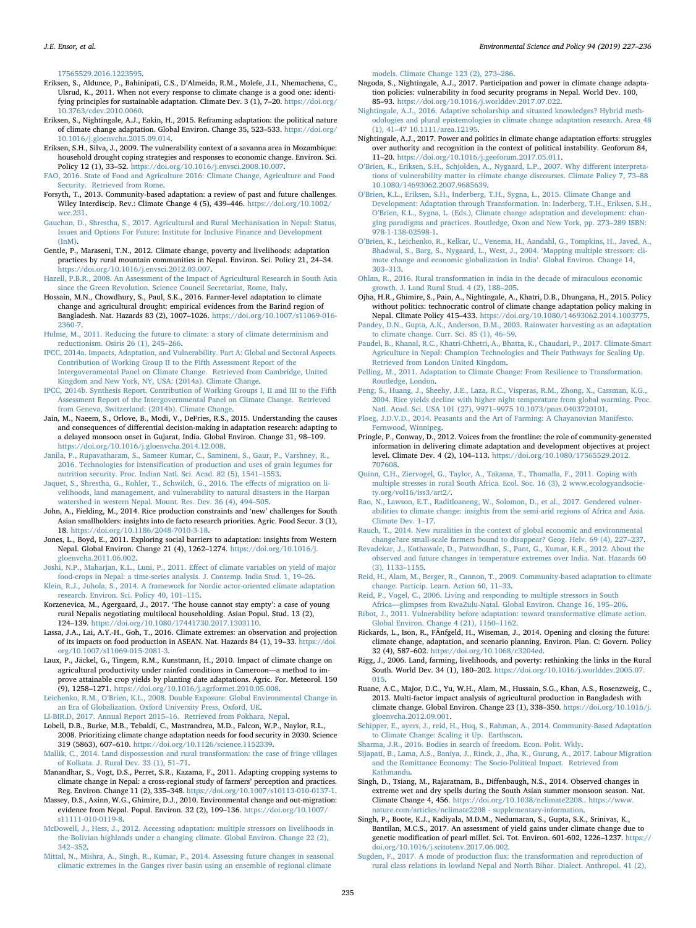[17565529.2016.1223595](http://refhub.elsevier.com/S1462-9011(18)31107-9/sbref0120).

- <span id="page-8-2"></span>Eriksen, S., Aldunce, P., Bahinipati, C.S., D'Almeida, R.M., Molefe, J.I., Nhemachena, C., Ulsrud, K., 2011. When not every response to climate change is a good one: identifying principles for sustainable adaptation. Climate Dev. 3 (1), 7-20. [https://doi.org/](https://doi.org/10.3763/cdev.2010.0060) [10.3763/cdev.2010.0060](https://doi.org/10.3763/cdev.2010.0060).
- <span id="page-8-8"></span>Eriksen, S., Nightingale, A.J., Eakin, H., 2015. Reframing adaptation: the political nature of climate change adaptation. Global Environ. Change 35, 523–533. [https://doi.org/](https://doi.org/10.1016/j.gloenvcha.2015.09.014) [10.1016/j.gloenvcha.2015.09.014](https://doi.org/10.1016/j.gloenvcha.2015.09.014).
- Eriksen, S.H., Silva, J., 2009. The vulnerability context of a savanna area in Mozambique: household drought coping strategies and responses to economic change. Environ. Sci. Policy 12 (1), 33–52. [https://doi.org/10.1016/j.envsci.2008.10.007.](https://doi.org/10.1016/j.envsci.2008.10.007)
- <span id="page-8-4"></span>[FAO, 2016. State of Food and Agriculture 2016: Climate Change, Agriculture and Food](http://refhub.elsevier.com/S1462-9011(18)31107-9/sbref0140) [Security. Retrieved from Rome.](http://refhub.elsevier.com/S1462-9011(18)31107-9/sbref0140)
- Forsyth, T., 2013. Community-based adaptation: a review of past and future challenges. Wiley Interdiscip. Rev.: Climate Change 4 (5), 439–446. [https://doi.org/10.1002/](https://doi.org/10.1002/wcc.231) [wcc.231](https://doi.org/10.1002/wcc.231).
- <span id="page-8-35"></span>[Gauchan, D., Shrestha, S., 2017. Agricultural and Rural Mechanisation in Nepal: Status,](http://refhub.elsevier.com/S1462-9011(18)31107-9/sbref0150) [Issues and Options For Future: Institute for Inclusive Finance and Development](http://refhub.elsevier.com/S1462-9011(18)31107-9/sbref0150) [\(InM\).](http://refhub.elsevier.com/S1462-9011(18)31107-9/sbref0150)
- Gentle, P., Maraseni, T.N., 2012. Climate change, poverty and livelihoods: adaptation practices by rural mountain communities in Nepal. Environ. Sci. Policy 21, 24–34. <https://doi.org/10.1016/j.envsci.2012.03.007>.
- <span id="page-8-26"></span>[Hazell, P.B.R., 2008. An Assessment of the Impact of Agricultural Research in South Asia](http://refhub.elsevier.com/S1462-9011(18)31107-9/sbref0160) [since the Green Revolution. Science Council Secretariat, Rome, Italy](http://refhub.elsevier.com/S1462-9011(18)31107-9/sbref0160).
- <span id="page-8-0"></span>Hossain, M.N., Chowdhury, S., Paul, S.K., 2016. Farmer-level adaptation to climate change and agricultural drought: empirical evidences from the Barind region of Bangladesh. Nat. Hazards 83 (2), 1007–1026. [https://doi.org/10.1007/s11069-016-](https://doi.org/10.1007/s11069-016-2360-7) [2360-7.](https://doi.org/10.1007/s11069-016-2360-7)
- <span id="page-8-22"></span>[Hulme, M., 2011. Reducing the future to climate: a story of climate determinism and](http://refhub.elsevier.com/S1462-9011(18)31107-9/sbref0170) [reductionism. Osiris 26 \(1\), 245–266.](http://refhub.elsevier.com/S1462-9011(18)31107-9/sbref0170)
- <span id="page-8-28"></span>[IPCC, 2014a. Impacts, Adaptation, and Vulnerability. Part A: Global and Sectoral Aspects.](http://refhub.elsevier.com/S1462-9011(18)31107-9/sbref0175) [Contribution of Working Group II to the Fifth Assessment Report of the](http://refhub.elsevier.com/S1462-9011(18)31107-9/sbref0175) [Intergovernmental Panel on Climate Change. Retrieved from Cambridge, United](http://refhub.elsevier.com/S1462-9011(18)31107-9/sbref0175) [Kingdom and New York, NY, USA: \(2014a\). Climate Change.](http://refhub.elsevier.com/S1462-9011(18)31107-9/sbref0175)
- <span id="page-8-18"></span>[IPCC, 2014b. Synthesis Report. Contribution of Working Groups I, II and III to the Fifth](http://refhub.elsevier.com/S1462-9011(18)31107-9/sbref0180) [Assessment Report of the Intergovernmental Panel on Climate Change. Retrieved](http://refhub.elsevier.com/S1462-9011(18)31107-9/sbref0180) [from Geneva, Switzerland: \(2014b\). Climate Change.](http://refhub.elsevier.com/S1462-9011(18)31107-9/sbref0180)
- <span id="page-8-25"></span>Jain, M., Naeem, S., Orlove, B., Modi, V., DeFries, R.S., 2015. Understanding the causes and consequences of differential decision-making in adaptation research: adapting to a delayed monsoon onset in Gujarat, India. Global Environ. Change 31, 98–109. <https://doi.org/10.1016/j.gloenvcha.2014.12.008>.
- <span id="page-8-3"></span>[Janila, P., Rupavatharam, S., Sameer Kumar, C., Samineni, S., Gaur, P., Varshney, R.,](http://refhub.elsevier.com/S1462-9011(18)31107-9/sbref0190) [2016. Technologies for intensification of production and uses of grain legumes for](http://refhub.elsevier.com/S1462-9011(18)31107-9/sbref0190) [nutrition security. Proc. Indian Natl. Sci. Acad. 82 \(5\), 1541–1553](http://refhub.elsevier.com/S1462-9011(18)31107-9/sbref0190).
- <span id="page-8-33"></span>[Jaquet, S., Shrestha, G., Kohler, T., Schwilch, G., 2016. The effects of migration on li](http://refhub.elsevier.com/S1462-9011(18)31107-9/sbref0195)[velihoods, land management, and vulnerability to natural disasters in the Harpan](http://refhub.elsevier.com/S1462-9011(18)31107-9/sbref0195) [watershed in western Nepal. Mount. Res. Dev. 36 \(4\), 494–505](http://refhub.elsevier.com/S1462-9011(18)31107-9/sbref0195).
- <span id="page-8-24"></span>John, A., Fielding, M., 2014. Rice production constraints and 'new' challenges for South Asian smallholders: insights into de facto research priorities. Agric. Food Secur. 3 (1), 18. <https://doi.org/10.1186/2048-7010-3-18>.
- <span id="page-8-27"></span>Jones, L., Boyd, E., 2011. Exploring social barriers to adaptation: insights from Western Nepal. Global Environ. Change 21 (4), 1262–1274. [https://doi.org/10.1016/j.](https://doi.org/10.1016/j.gloenvcha.2011.06.002) [gloenvcha.2011.06.002.](https://doi.org/10.1016/j.gloenvcha.2011.06.002)
- <span id="page-8-10"></span>[Joshi, N.P., Maharjan, K.L., Luni, P., 2011. Effect of climate variables on yield of major](http://refhub.elsevier.com/S1462-9011(18)31107-9/sbref0210) [food-crops in Nepal: a time-series analysis. J. Contemp. India Stud. 1, 19–26](http://refhub.elsevier.com/S1462-9011(18)31107-9/sbref0210).
- [Klein, R.J., Juhola, S., 2014. A framework for Nordic actor-oriented climate adaptation](http://refhub.elsevier.com/S1462-9011(18)31107-9/sbref0215) [research. Environ. Sci. Policy 40, 101–115.](http://refhub.elsevier.com/S1462-9011(18)31107-9/sbref0215)
- <span id="page-8-1"></span>Korzenevica, M., Agergaard, J., 2017. 'The house cannot stay empty': a case of young rural Nepalis negotiating multilocal householding. Asian Popul. Stud. 13 (2), 124–139. [https://doi.org/10.1080/17441730.2017.1303110.](https://doi.org/10.1080/17441730.2017.1303110)
- <span id="page-8-14"></span>Lassa, J.A., Lai, A.Y.-H., Goh, T., 2016. Climate extremes: an observation and projection of its impacts on food production in ASEAN. Nat. Hazards 84 (1), 19–33. [https://doi.](https://doi.org/10.1007/s11069-015-2081-3) [org/10.1007/s11069-015-2081-3.](https://doi.org/10.1007/s11069-015-2081-3)
- <span id="page-8-19"></span>Laux, P., Jäckel, G., Tingem, R.M., Kunstmann, H., 2010. Impact of climate change on agricultural productivity under rainfed conditions in Cameroon—a method to improve attainable crop yields by planting date adaptations. Agric. For. Meteorol. 150 (9), 1258–1271. [https://doi.org/10.1016/j.agrformet.2010.05.008.](https://doi.org/10.1016/j.agrformet.2010.05.008)
- <span id="page-8-5"></span>[Leichenko, R.M., O'Brien, K.L., 2008. Double Exposure: Global Environmental Change in](http://refhub.elsevier.com/S1462-9011(18)31107-9/sbref0235) [an Era of Globalization. Oxford University Press, Oxford, UK.](http://refhub.elsevier.com/S1462-9011(18)31107-9/sbref0235)
- <span id="page-8-23"></span>[LI-BIR.D, 2017. Annual Report 2015–16. Retrieved from Pokhara, Nepal](http://refhub.elsevier.com/S1462-9011(18)31107-9/sbref0240).
- Lobell, D.B., Burke, M.B., Tebaldi, C., Mastrandrea, M.D., Falcon, W.P., Naylor, R.L., 2008. Prioritizing climate change adaptation needs for food security in 2030. Science 319 (5863), 607–610. <https://doi.org/10.1126/science.1152339>.
- <span id="page-8-29"></span>[Mallik, C., 2014. Land dispossession and rural transformation: the case of fringe villages](http://refhub.elsevier.com/S1462-9011(18)31107-9/sbref0250) [of Kolkata. J. Rural Dev. 33 \(1\), 51–71](http://refhub.elsevier.com/S1462-9011(18)31107-9/sbref0250).
- <span id="page-8-36"></span>Manandhar, S., Vogt, D.S., Perret, S.R., Kazama, F., 2011. Adapting cropping systems to climate change in Nepal: a cross-regional study of farmers' perception and practices. Reg. Environ. Change 11 (2), 335–348. [https://doi.org/10.1007/s10113-010-0137-1.](https://doi.org/10.1007/s10113-010-0137-1)
- Massey, D.S., Axinn, W.G., Ghimire, D.J., 2010. Environmental change and out-migration: evidence from Nepal. Popul. Environ. 32 (2), 109–136. [https://doi.org/10.1007/](https://doi.org/10.1007/s11111-010-0119-8) [s11111-010-0119-8.](https://doi.org/10.1007/s11111-010-0119-8)
- [McDowell, J., Hess, J., 2012. Accessing adaptation: multiple stressors on livelihoods in](http://refhub.elsevier.com/S1462-9011(18)31107-9/sbref0265) [the Bolivian highlands under a changing climate. Global Environ. Change 22 \(2\),](http://refhub.elsevier.com/S1462-9011(18)31107-9/sbref0265) [342–352](http://refhub.elsevier.com/S1462-9011(18)31107-9/sbref0265).
- <span id="page-8-13"></span>[Mittal, N., Mishra, A., Singh, R., Kumar, P., 2014. Assessing future changes in seasonal](http://refhub.elsevier.com/S1462-9011(18)31107-9/sbref0270) [climatic extremes in the Ganges river basin using an ensemble of regional climate](http://refhub.elsevier.com/S1462-9011(18)31107-9/sbref0270)

[models. Climate Change 123 \(2\), 273–286](http://refhub.elsevier.com/S1462-9011(18)31107-9/sbref0270).

- <span id="page-8-39"></span>Nagoda, S., Nightingale, A.J., 2017. Participation and power in climate change adaptation policies: vulnerability in food security programs in Nepal. World Dev. 100, 85–93. [https://doi.org/10.1016/j.worlddev.2017.07.022.](https://doi.org/10.1016/j.worlddev.2017.07.022)
- <span id="page-8-9"></span>[Nightingale, A.J., 2016. Adaptive scholarship and situated knowledges? Hybrid meth](http://refhub.elsevier.com/S1462-9011(18)31107-9/sbref0280)[odologies and plural epistemologies in climate change adaptation research. Area 48](http://refhub.elsevier.com/S1462-9011(18)31107-9/sbref0280) [\(1\), 41–47 10.1111/area.12195.](http://refhub.elsevier.com/S1462-9011(18)31107-9/sbref0280)
- Nightingale, A.J., 2017. Power and politics in climate change adaptation efforts: struggles over authority and recognition in the context of political instability. Geoforum 84, 11–20. <https://doi.org/10.1016/j.geoforum.2017.05.011>.
- <span id="page-8-6"></span>[O'Brien, K., Eriksen, S.H., Schjolden, A., Nygaard, L.P., 2007. Why different interpreta](http://refhub.elsevier.com/S1462-9011(18)31107-9/sbref0290)[tions of vulnerability matter in climate change discourses. Climate Policy 7, 73–88](http://refhub.elsevier.com/S1462-9011(18)31107-9/sbref0290) [10.1080/14693062.2007.9685639.](http://refhub.elsevier.com/S1462-9011(18)31107-9/sbref0290)
- <span id="page-8-7"></span>[O'Brien, K.L., Eriksen, S.H., Inderberg, T.H., Sygna, L., 2015. Climate Change and](http://refhub.elsevier.com/S1462-9011(18)31107-9/sbref0295) [Development: Adaptation through Transformation. In: Inderberg, T.H., Eriksen, S.H.,](http://refhub.elsevier.com/S1462-9011(18)31107-9/sbref0295) [O'Brien, K.L., Sygna, L. \(Eds.\), Climate change adaptation and development: chan](http://refhub.elsevier.com/S1462-9011(18)31107-9/sbref0295)[ging paradigms and practices. Routledge, Oxon and New York, pp. 273–289 ISBN:](http://refhub.elsevier.com/S1462-9011(18)31107-9/sbref0295) [978-1-138-02598-1](http://refhub.elsevier.com/S1462-9011(18)31107-9/sbref0295).
- [O'Brien, K., Leichenko, R., Kelkar, U., Venema, H., Aandahl, G., Tompkins, H., Javed, A.,](http://refhub.elsevier.com/S1462-9011(18)31107-9/sbref0300) [Bhadwal, S., Barg, S., Nygaard, L., West, J., 2004. 'Mapping multiple stressors: cli](http://refhub.elsevier.com/S1462-9011(18)31107-9/sbref0300)[mate change and economic globalization in India'. Global Environ. Change 14,](http://refhub.elsevier.com/S1462-9011(18)31107-9/sbref0300) [303–313](http://refhub.elsevier.com/S1462-9011(18)31107-9/sbref0300).
- <span id="page-8-30"></span>[Ohlan, R., 2016. Rural transformation in india in the decade of miraculous economic](http://refhub.elsevier.com/S1462-9011(18)31107-9/sbref0305) [growth. J. Land Rural Stud. 4 \(2\), 188–205](http://refhub.elsevier.com/S1462-9011(18)31107-9/sbref0305).
- Ojha, H.R., Ghimire, S., Pain, A., Nightingale, A., Khatri, D.B., Dhungana, H., 2015. Policy without politics: technocratic control of climate change adaptation policy making in Nepal. Climate Policy 415–433. <https://doi.org/10.1080/14693062.2014.1003775>.
- <span id="page-8-20"></span>[Pandey, D.N., Gupta, A.K., Anderson, D.M., 2003. Rainwater harvesting as an adaptation](http://refhub.elsevier.com/S1462-9011(18)31107-9/sbref0315) [to climate change. Curr. Sci. 85 \(1\), 46–59.](http://refhub.elsevier.com/S1462-9011(18)31107-9/sbref0315)
- [Paudel, B., Khanal, R.C., Khatri-Chhetri, A., Bhatta, K., Chaudari, P., 2017. Climate-Smart](http://refhub.elsevier.com/S1462-9011(18)31107-9/sbref0320) [Agriculture in Nepal: Champion Technologies and Their Pathways for Scaling Up.](http://refhub.elsevier.com/S1462-9011(18)31107-9/sbref0320) [Retrieved from London United Kingdom](http://refhub.elsevier.com/S1462-9011(18)31107-9/sbref0320).
- [Pelling, M., 2011. Adaptation to Climate Change: From Resilience to Transformation.](http://refhub.elsevier.com/S1462-9011(18)31107-9/sbref0325) [Routledge, London](http://refhub.elsevier.com/S1462-9011(18)31107-9/sbref0325).
- [Peng, S., Huang, J., Sheehy, J.E., Laza, R.C., Visperas, R.M., Zhong, X., Cassman, K.G.,](http://refhub.elsevier.com/S1462-9011(18)31107-9/sbref0330) [2004. Rice yields decline with higher night temperature from global warming. Proc.](http://refhub.elsevier.com/S1462-9011(18)31107-9/sbref0330) Natl. Acad. Sci. USA 101 (27), 9971-9975 10.1073/pnas.0403720101.
- <span id="page-8-16"></span>[Ploeg, J.D.V.D., 2014. Peasants and the Art of Farming: A Chayanovian Manifesto.](http://refhub.elsevier.com/S1462-9011(18)31107-9/sbref0335) [Fernwood, Winnipeg.](http://refhub.elsevier.com/S1462-9011(18)31107-9/sbref0335)
- <span id="page-8-38"></span>Pringle, P., Conway, D., 2012. Voices from the frontline: the role of community-generated information in delivering climate adaptation and development objectives at project level. Climate Dev. 4 (2), 104–113. [https://doi.org/10.1080/17565529.2012.](https://doi.org/10.1080/17565529.2012.707608) [707608](https://doi.org/10.1080/17565529.2012.707608).
- [Quinn, C.H., Ziervogel, G., Taylor, A., Takama, T., Thomalla, F., 2011. Coping with](http://refhub.elsevier.com/S1462-9011(18)31107-9/sbref0345) [multiple stresses in rural South Africa. Ecol. Soc. 16 \(3\), 2 www.ecologyandsocie](http://refhub.elsevier.com/S1462-9011(18)31107-9/sbref0345)[ty.org/vol16/iss3/art2/.](http://refhub.elsevier.com/S1462-9011(18)31107-9/sbref0345)
- [Rao, N., Lawson, E.T., Raditloaneng, W., Solomon, D., et al., 2017. Gendered vulner](http://refhub.elsevier.com/S1462-9011(18)31107-9/sbref0350)[abilities to climate change: insights from the semi-arid regions of Africa and Asia.](http://refhub.elsevier.com/S1462-9011(18)31107-9/sbref0350) [Climate Dev. 1–17](http://refhub.elsevier.com/S1462-9011(18)31107-9/sbref0350).
- [Rauch, T., 2014. New ruralities in the context of global economic and environmental](http://refhub.elsevier.com/S1462-9011(18)31107-9/sbref0355)
- <span id="page-8-12"></span>[change?are small-scale farmers bound to disappear? Geog. Helv. 69 \(4\), 227–237.](http://refhub.elsevier.com/S1462-9011(18)31107-9/sbref0355) [Revadekar, J., Kothawale, D., Patwardhan, S., Pant, G., Kumar, K.R., 2012. About the](http://refhub.elsevier.com/S1462-9011(18)31107-9/sbref0360)
- [observed and future changes in temperature extremes over India. Nat. Hazards 60](http://refhub.elsevier.com/S1462-9011(18)31107-9/sbref0360) [\(3\), 1133–1155.](http://refhub.elsevier.com/S1462-9011(18)31107-9/sbref0360)
- <span id="page-8-37"></span>[Reid, H., Alam, M., Berger, R., Cannon, T., 2009. Community-based adaptation to climate](http://refhub.elsevier.com/S1462-9011(18)31107-9/sbref0365) [change. Particip. Learn. Action 60, 11–33](http://refhub.elsevier.com/S1462-9011(18)31107-9/sbref0365).
- [Reid, P., Vogel, C., 2006. Living and responding to multiple stressors in South](http://refhub.elsevier.com/S1462-9011(18)31107-9/sbref0370)
- [Africa—glimpses from KwaZulu-Natal. Global Environ. Change 16, 195–206.](http://refhub.elsevier.com/S1462-9011(18)31107-9/sbref0370) [Ribot, J., 2011. Vulnerability before adaptation: toward transformative climate action.](http://refhub.elsevier.com/S1462-9011(18)31107-9/sbref0375) [Global Environ. Change 4 \(21\), 1160–1162.](http://refhub.elsevier.com/S1462-9011(18)31107-9/sbref0375)
- Rickards, L., Ison, R., FÃnfgeld, H., Wiseman, J., 2014. Opening and closing the future: climate change, adaptation, and scenario planning. Environ. Plan. C: Govern. Policy 32 (4), 587–602. [https://doi.org/10.1068/c3204ed.](https://doi.org/10.1068/c3204ed)
- <span id="page-8-17"></span>Rigg, J., 2006. Land, farming, livelihoods, and poverty: rethinking the links in the Rural South. World Dev. 34 (1), 180–202. [https://doi.org/10.1016/j.worlddev.2005.07.](https://doi.org/10.1016/j.worlddev.2005.07.015) [015](https://doi.org/10.1016/j.worlddev.2005.07.015).
- <span id="page-8-11"></span>Ruane, A.C., Major, D.C., Yu, W.H., Alam, M., Hussain, S.G., Khan, A.S., Rosenzweig, C., 2013. Multi-factor impact analysis of agricultural production in Bangladesh with climate change. Global Environ. Change 23 (1), 338–350. [https://doi.org/10.1016/j.](https://doi.org/10.1016/j.gloenvcha.2012.09.001) [gloenvcha.2012.09.001.](https://doi.org/10.1016/j.gloenvcha.2012.09.001)
- [Schipper, E., ayers, J., reid, H., Huq, S., Rahman, A., 2014. Community-Based Adaptation](http://refhub.elsevier.com/S1462-9011(18)31107-9/sbref0395) [to Climate Change: Scaling it Up. Earthscan.](http://refhub.elsevier.com/S1462-9011(18)31107-9/sbref0395)
- <span id="page-8-32"></span>[Sharma, J.R., 2016. Bodies in search of freedom. Econ. Polit. Wkly.](http://refhub.elsevier.com/S1462-9011(18)31107-9/sbref0400)
- <span id="page-8-34"></span>[Sijapati, B., Lama, A.S., Baniya, J., Rinck, J., Jha, K., Gurung, A., 2017. Labour Migration](http://refhub.elsevier.com/S1462-9011(18)31107-9/sbref0405) [and the Remittance Economy: The Socio-Political Impact. Retrieved from](http://refhub.elsevier.com/S1462-9011(18)31107-9/sbref0405) [Kathmandu](http://refhub.elsevier.com/S1462-9011(18)31107-9/sbref0405).
- <span id="page-8-15"></span>Singh, D., Tsiang, M., Rajaratnam, B., Diffenbaugh, N.S., 2014. Observed changes in extreme wet and dry spells during the South Asian summer monsoon season. Nat. Climate Change 4, 456. [https://doi.org/10.1038/nclimate2208..](https://doi.org/10.1038/nclimate2208) https://www. [nature.com/articles/nclimate2208 - supplementary-information](https://www.nature.com/articles/nclimate2208%20-%20supplementary-information).
- <span id="page-8-21"></span>Singh, P., Boote, K.J., Kadiyala, M.D.M., Nedumaran, S., Gupta, S.K., Srinivas, K., Bantilan, M.C.S., 2017. An assessment of yield gains under climate change due to genetic modification of pearl millet. Sci. Tot. Environ. 601-602, 1226–1237. [https://](https://doi.org/10.1016/j.scitotenv.2017.06.002) [doi.org/10.1016/j.scitotenv.2017.06.002.](https://doi.org/10.1016/j.scitotenv.2017.06.002)
- <span id="page-8-31"></span>[Sugden, F., 2017. A mode of production flux: the transformation and reproduction of](http://refhub.elsevier.com/S1462-9011(18)31107-9/sbref0420) [rural class relations in lowland Nepal and North Bihar. Dialect. Anthropol. 41 \(2\),](http://refhub.elsevier.com/S1462-9011(18)31107-9/sbref0420)